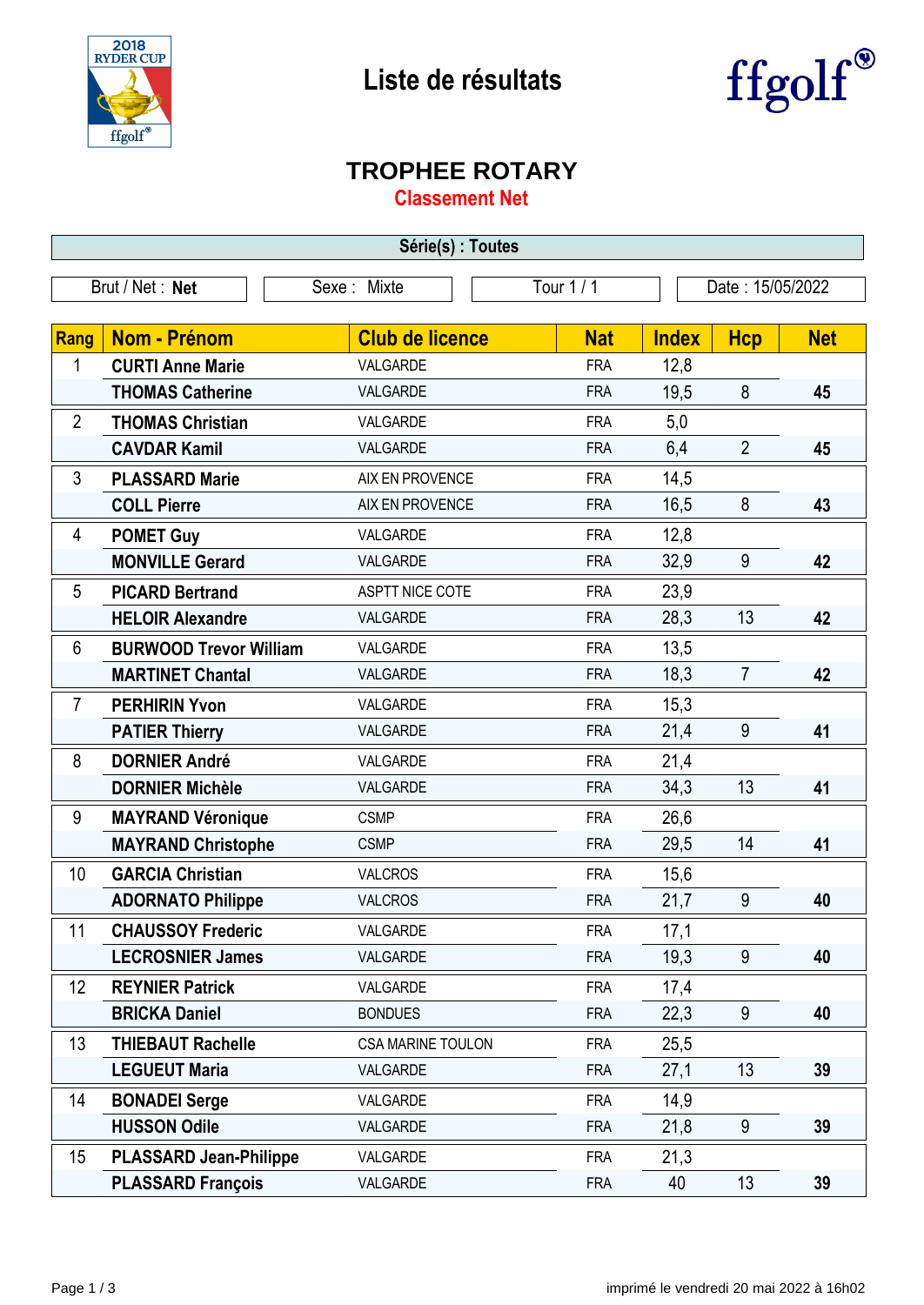



## **TROPHEE ROTARY**

**Classement Net**

| Série(s) : Toutes                                                |                               |                          |            |              |                |            |  |
|------------------------------------------------------------------|-------------------------------|--------------------------|------------|--------------|----------------|------------|--|
| Tour 1 / 1<br>Brut / Net: Net<br>Date: 15/05/2022<br>Sexe: Mixte |                               |                          |            |              |                |            |  |
|                                                                  |                               |                          |            |              |                |            |  |
| <b>Rang</b>                                                      | <b>Nom - Prénom</b>           | <b>Club de licence</b>   | <b>Nat</b> | <b>Index</b> | <b>Hcp</b>     | <b>Net</b> |  |
| 1                                                                | <b>CURTI Anne Marie</b>       | VALGARDE                 | <b>FRA</b> | 12,8         |                |            |  |
|                                                                  | <b>THOMAS Catherine</b>       | VALGARDE                 | <b>FRA</b> | 19,5         | 8              | 45         |  |
| $\overline{2}$                                                   | <b>THOMAS Christian</b>       | VALGARDE                 | <b>FRA</b> | 5,0          |                |            |  |
|                                                                  | <b>CAVDAR Kamil</b>           | VALGARDE                 | <b>FRA</b> | 6,4          | $\overline{2}$ | 45         |  |
| 3                                                                | <b>PLASSARD Marie</b>         | AIX EN PROVENCE          | <b>FRA</b> | 14,5         |                |            |  |
|                                                                  | <b>COLL Pierre</b>            | AIX EN PROVENCE          | <b>FRA</b> | 16,5         | 8              | 43         |  |
| 4                                                                | <b>POMET Guy</b>              | VALGARDE                 | <b>FRA</b> | 12,8         |                |            |  |
|                                                                  | <b>MONVILLE Gerard</b>        | VALGARDE                 | <b>FRA</b> | 32,9         | 9              | 42         |  |
| 5                                                                | <b>PICARD Bertrand</b>        | ASPTT NICE COTE          | <b>FRA</b> | 23,9         |                |            |  |
|                                                                  | <b>HELOIR Alexandre</b>       | VALGARDE                 | <b>FRA</b> | 28,3         | 13             | 42         |  |
| 6                                                                | <b>BURWOOD Trevor William</b> | VALGARDE                 | <b>FRA</b> | 13,5         |                |            |  |
|                                                                  | <b>MARTINET Chantal</b>       | VALGARDE                 | <b>FRA</b> | 18,3         | $\overline{7}$ | 42         |  |
| $\overline{7}$                                                   | <b>PERHIRIN Yvon</b>          | VALGARDE                 | <b>FRA</b> | 15,3         |                |            |  |
|                                                                  | <b>PATIER Thierry</b>         | VALGARDE                 | <b>FRA</b> | 21,4         | 9              | 41         |  |
| 8                                                                | <b>DORNIER André</b>          | VALGARDE                 | <b>FRA</b> | 21,4         |                |            |  |
|                                                                  | <b>DORNIER Michèle</b>        | VALGARDE                 | <b>FRA</b> | 34,3         | 13             | 41         |  |
| 9                                                                | <b>MAYRAND Véronique</b>      | <b>CSMP</b>              | <b>FRA</b> | 26,6         |                |            |  |
|                                                                  | <b>MAYRAND Christophe</b>     | <b>CSMP</b>              | <b>FRA</b> | 29,5         | 14             | 41         |  |
| 10                                                               | <b>GARCIA Christian</b>       | <b>VALCROS</b>           | <b>FRA</b> | 15,6         |                |            |  |
|                                                                  | <b>ADORNATO Philippe</b>      | <b>VALCROS</b>           | <b>FRA</b> | 21,7         | 9              | 40         |  |
| 11                                                               | <b>CHAUSSOY Frederic</b>      | VALGARDE                 | <b>FRA</b> | 17,1         |                |            |  |
|                                                                  | <b>LECROSNIER James</b>       | VALGARDE                 | <b>FRA</b> | 19,3         | 9              | 40         |  |
| 12                                                               | <b>REYNIER Patrick</b>        | VALGARDE                 | <b>FRA</b> | 17,4         |                |            |  |
|                                                                  | <b>BRICKA Daniel</b>          | <b>BONDUES</b>           | <b>FRA</b> | 22,3         | 9              | 40         |  |
| 13                                                               | <b>THIEBAUT Rachelle</b>      | <b>CSA MARINE TOULON</b> | <b>FRA</b> | 25,5         |                |            |  |
|                                                                  | <b>LEGUEUT Maria</b>          | VALGARDE                 | <b>FRA</b> | 27,1         | 13             | 39         |  |
| 14                                                               | <b>BONADEI Serge</b>          | VALGARDE                 | <b>FRA</b> | 14,9         |                |            |  |
|                                                                  | <b>HUSSON Odile</b>           | VALGARDE                 | <b>FRA</b> | 21,8         | 9              | 39         |  |
| 15                                                               | <b>PLASSARD Jean-Philippe</b> | VALGARDE                 | <b>FRA</b> | 21,3         |                |            |  |
|                                                                  | <b>PLASSARD François</b>      | VALGARDE                 | <b>FRA</b> | 40           | 13             | 39         |  |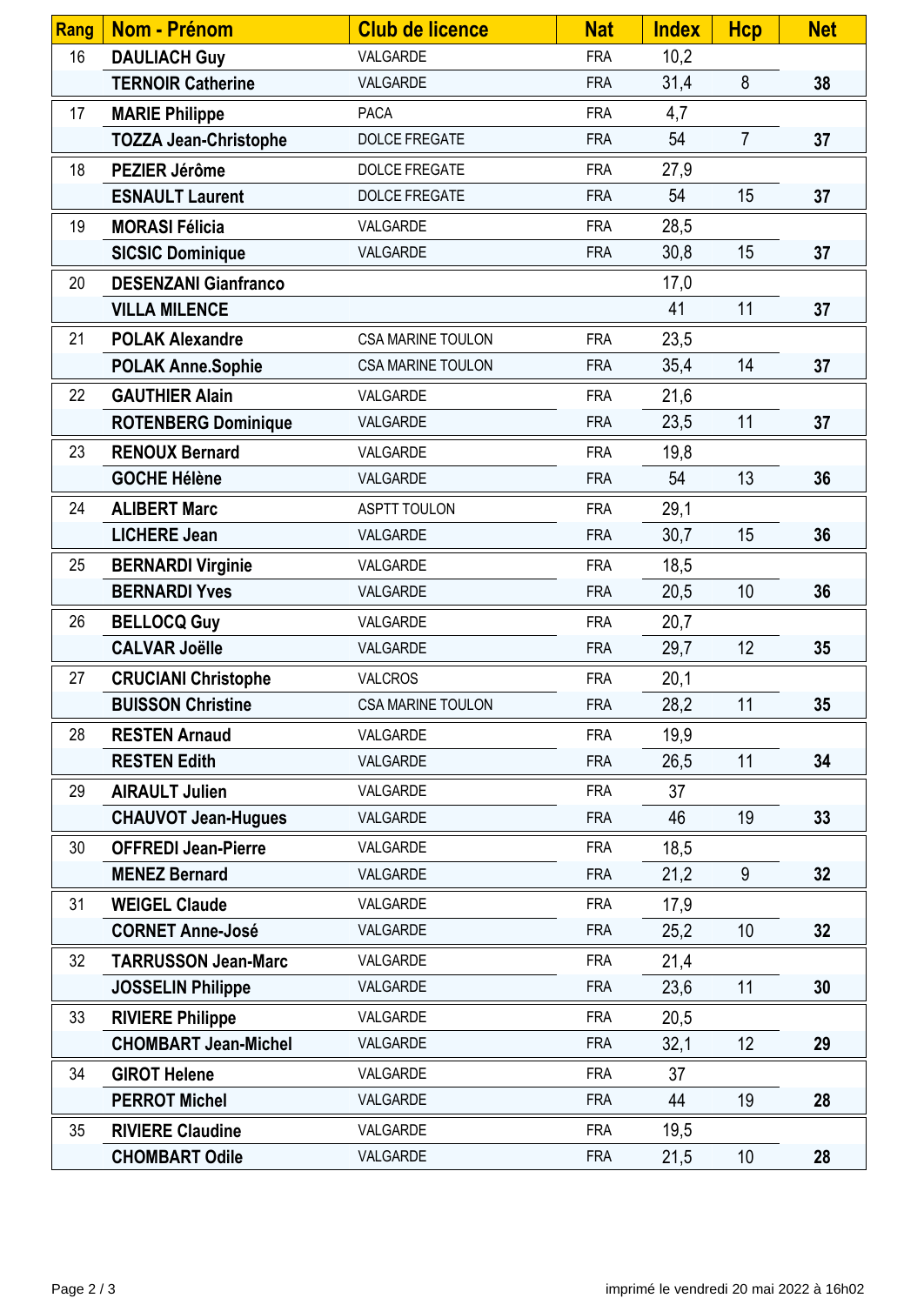| Rang | <b>Nom - Prénom</b>          | <b>Club de licence</b>   | <b>Nat</b> | <b>Index</b> | <b>Hcp</b>     | <b>Net</b> |
|------|------------------------------|--------------------------|------------|--------------|----------------|------------|
| 16   | <b>DAULIACH Guy</b>          | VALGARDE                 | <b>FRA</b> | 10,2         |                |            |
|      | <b>TERNOIR Catherine</b>     | VALGARDE                 | <b>FRA</b> | 31,4         | 8              | 38         |
| 17   | <b>MARIE Philippe</b>        | <b>PACA</b>              | <b>FRA</b> | 4,7          |                |            |
|      | <b>TOZZA Jean-Christophe</b> | <b>DOLCE FREGATE</b>     | <b>FRA</b> | 54           | $\overline{7}$ | 37         |
| 18   | PEZIER Jérôme                | <b>DOLCE FREGATE</b>     | <b>FRA</b> | 27,9         |                |            |
|      | <b>ESNAULT Laurent</b>       | <b>DOLCE FREGATE</b>     | <b>FRA</b> | 54           | 15             | 37         |
| 19   | <b>MORASI Félicia</b>        | VALGARDE                 | <b>FRA</b> | 28,5         |                |            |
|      | <b>SICSIC Dominique</b>      | VALGARDE                 | <b>FRA</b> | 30,8         | 15             | 37         |
| 20   | <b>DESENZANI Gianfranco</b>  |                          |            | 17,0         |                |            |
|      | <b>VILLA MILENCE</b>         |                          |            | 41           | 11             | 37         |
| 21   | <b>POLAK Alexandre</b>       | <b>CSA MARINE TOULON</b> | <b>FRA</b> | 23,5         |                |            |
|      | <b>POLAK Anne.Sophie</b>     | <b>CSA MARINE TOULON</b> | <b>FRA</b> | 35,4         | 14             | 37         |
| 22   | <b>GAUTHIER Alain</b>        | VALGARDE                 | <b>FRA</b> | 21,6         |                |            |
|      | <b>ROTENBERG Dominique</b>   | VALGARDE                 | <b>FRA</b> | 23,5         | 11             | 37         |
| 23   | <b>RENOUX Bernard</b>        | VALGARDE                 | <b>FRA</b> | 19,8         |                |            |
|      | <b>GOCHE Hélène</b>          | VALGARDE                 | <b>FRA</b> | 54           | 13             | 36         |
| 24   | <b>ALIBERT Marc</b>          | <b>ASPTT TOULON</b>      | <b>FRA</b> | 29,1         |                |            |
|      | <b>LICHERE Jean</b>          | VALGARDE                 | <b>FRA</b> | 30,7         | 15             | 36         |
| 25   | <b>BERNARDI Virginie</b>     | VALGARDE                 | <b>FRA</b> | 18,5         |                |            |
|      | <b>BERNARDI Yves</b>         | VALGARDE                 | <b>FRA</b> | 20,5         | 10             | 36         |
| 26   | <b>BELLOCQ Guy</b>           | VALGARDE                 | <b>FRA</b> | 20,7         |                |            |
|      | <b>CALVAR Joëlle</b>         | VALGARDE                 | <b>FRA</b> | 29,7         | 12             | 35         |
| 27   | <b>CRUCIANI Christophe</b>   | <b>VALCROS</b>           | <b>FRA</b> | 20,1         |                |            |
|      | <b>BUISSON Christine</b>     | <b>CSA MARINE TOULON</b> | <b>FRA</b> | 28,2         | 11             | 35         |
| 28   | <b>RESTEN Arnaud</b>         | VALGARDE                 | <b>FRA</b> | 19,9         |                |            |
|      | <b>RESTEN Edith</b>          | VALGARDE                 | <b>FRA</b> | 26,5         | 11             | 34         |
| 29   | <b>AIRAULT Julien</b>        | VALGARDE                 | <b>FRA</b> | 37           |                |            |
|      | <b>CHAUVOT Jean-Hugues</b>   | VALGARDE                 | <b>FRA</b> | 46           | 19             | 33         |
| 30   | <b>OFFREDI Jean-Pierre</b>   | VALGARDE                 | <b>FRA</b> | 18,5         |                |            |
|      | <b>MENEZ Bernard</b>         | VALGARDE                 | <b>FRA</b> | 21,2         | 9              | 32         |
| 31   | <b>WEIGEL Claude</b>         | VALGARDE                 | <b>FRA</b> | 17,9         |                |            |
|      | <b>CORNET Anne-José</b>      | VALGARDE                 | <b>FRA</b> | 25,2         | 10             | 32         |
| 32   | <b>TARRUSSON Jean-Marc</b>   | VALGARDE                 | <b>FRA</b> | 21,4         |                |            |
|      | <b>JOSSELIN Philippe</b>     | VALGARDE                 | <b>FRA</b> | 23,6         | 11             | 30         |
| 33   | <b>RIVIERE Philippe</b>      | VALGARDE                 | <b>FRA</b> | 20,5         |                |            |
|      | <b>CHOMBART Jean-Michel</b>  | VALGARDE                 | <b>FRA</b> | 32,1         | 12             | 29         |
| 34   | <b>GIROT Helene</b>          | VALGARDE                 | <b>FRA</b> | 37           |                |            |
|      | <b>PERROT Michel</b>         | VALGARDE                 | <b>FRA</b> | 44           | 19             | 28         |
| 35   | <b>RIVIERE Claudine</b>      | VALGARDE                 | <b>FRA</b> | 19,5         |                |            |
|      | <b>CHOMBART Odile</b>        | VALGARDE                 | <b>FRA</b> | 21,5         | 10             | 28         |